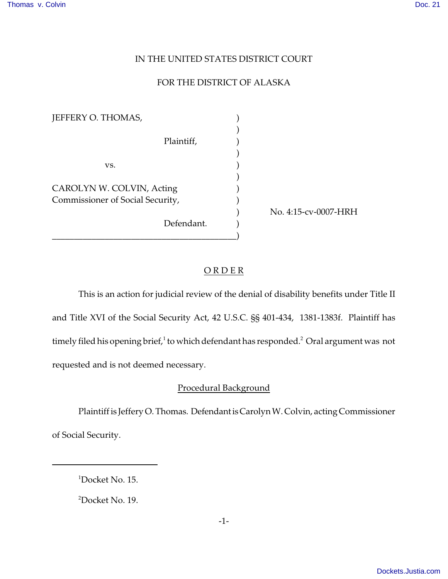# IN THE UNITED STATES DISTRICT COURT

### FOR THE DISTRICT OF ALASKA

| JEFFERY O. THOMAS,               |  |
|----------------------------------|--|
|                                  |  |
| Plaintiff,                       |  |
|                                  |  |
| vs.                              |  |
|                                  |  |
| CAROLYN W. COLVIN, Acting        |  |
| Commissioner of Social Security, |  |
|                                  |  |
| Defendant.                       |  |
|                                  |  |

) No. 4:15-cv-0007-HRH

#### O R D E R

This is an action for judicial review of the denial of disability benefits under Title II and Title XVI of the Social Security Act, 42 U.S.C. §§ 401-434, 1381-1383f. Plaintiff has timely filed his opening brief, $^1$  to which defendant has responded. $^2$  Oral argument was not requested and is not deemed necessary.

# Procedural Background

Plaintiff is Jeffery O. Thomas. Defendant is Carolyn W. Colvin, acting Commissioner of Social Security.

<sup>1</sup>Docket No. 15.

<sup>2</sup>Docket No. 19.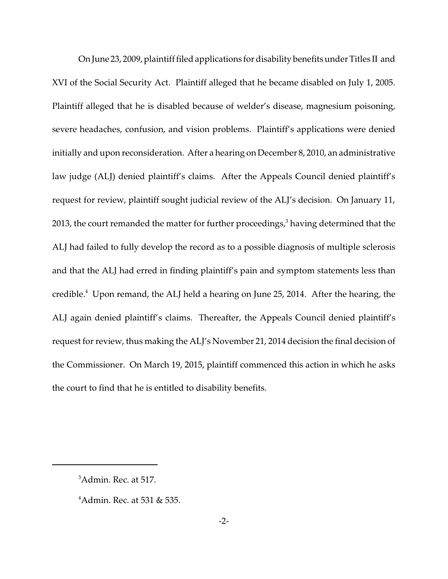On June 23, 2009, plaintiff filed applications for disability benefits under Titles II and XVI of the Social Security Act. Plaintiff alleged that he became disabled on July 1, 2005. Plaintiff alleged that he is disabled because of welder's disease, magnesium poisoning, severe headaches, confusion, and vision problems. Plaintiff's applications were denied initially and upon reconsideration. After a hearing on December 8, 2010, an administrative law judge (ALJ) denied plaintiff's claims. After the Appeals Council denied plaintiff's request for review, plaintiff sought judicial review of the ALJ's decision. On January 11, 2013, the court remanded the matter for further proceedings, $^3$  having determined that the ALJ had failed to fully develop the record as to a possible diagnosis of multiple sclerosis and that the ALJ had erred in finding plaintiff's pain and symptom statements less than credible.<sup>4</sup> Upon remand, the ALJ held a hearing on June 25, 2014. After the hearing, the ALJ again denied plaintiff's claims. Thereafter, the Appeals Council denied plaintiff's request for review, thus making the ALJ's November 21, 2014 decision the final decision of the Commissioner. On March 19, 2015, plaintiff commenced this action in which he asks the court to find that he is entitled to disability benefits.

<sup>&</sup>lt;sup>3</sup>Admin. Rec. at 517.

 $4$ Admin. Rec. at 531 & 535.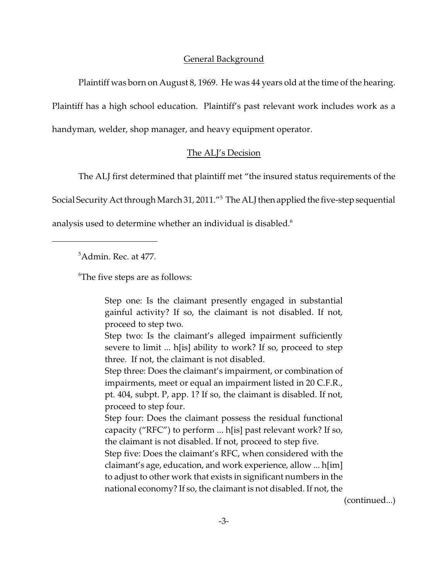# General Background

Plaintiff was born on August 8, 1969. He was 44 years old at the time of the hearing. Plaintiff has a high school education. Plaintiff's past relevant work includes work as a handyman, welder, shop manager, and heavy equipment operator.

# The ALJ's Decision

The ALJ first determined that plaintiff met "the insured status requirements of the

Social Security Act through March 31, 2011."<sup>5</sup> The ALJ then applied the five-step sequential

analysis used to determine whether an individual is disabled. $^6$ 

<sup>5</sup>Admin. Rec. at 477.

<sup>6</sup>The five steps are as follows:

Step one: Is the claimant presently engaged in substantial gainful activity? If so, the claimant is not disabled. If not, proceed to step two.

Step two: Is the claimant's alleged impairment sufficiently severe to limit ... h[is] ability to work? If so, proceed to step three. If not, the claimant is not disabled.

Step three: Does the claimant's impairment, or combination of impairments, meet or equal an impairment listed in 20 C.F.R., pt. 404, subpt. P, app. 1? If so, the claimant is disabled. If not, proceed to step four.

Step four: Does the claimant possess the residual functional capacity ("RFC") to perform ... h[is] past relevant work? If so, the claimant is not disabled. If not, proceed to step five.

Step five: Does the claimant's RFC, when considered with the claimant's age, education, and work experience, allow ... h[im] to adjust to other work that exists in significant numbers in the national economy? If so, the claimant is not disabled. If not, the

(continued...)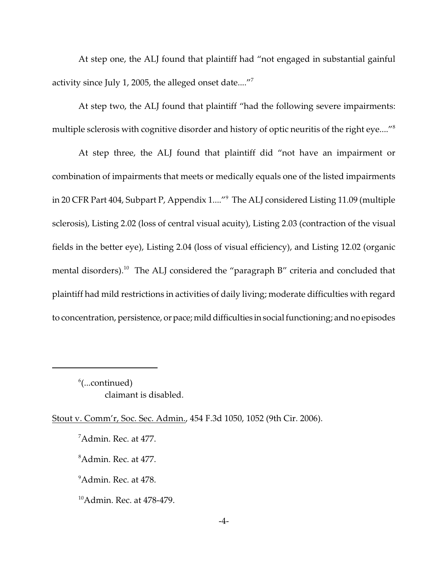At step one, the ALJ found that plaintiff had "not engaged in substantial gainful activity since July 1, 2005, the alleged onset date...."<sup>7</sup>

At step two, the ALJ found that plaintiff "had the following severe impairments: multiple sclerosis with cognitive disorder and history of optic neuritis of the right eye...."<sup>8</sup>

At step three, the ALJ found that plaintiff did "not have an impairment or combination of impairments that meets or medically equals one of the listed impairments in 20 CFR Part 404, Subpart P, Appendix 1...."<sup>9</sup> The ALJ considered Listing 11.09 (multiple sclerosis), Listing 2.02 (loss of central visual acuity), Listing 2.03 (contraction of the visual fields in the better eye), Listing 2.04 (loss of visual efficiency), and Listing 12.02 (organic mental disorders).<sup>10</sup> The ALJ considered the "paragraph B" criteria and concluded that plaintiff had mild restrictions in activities of daily living; moderate difficulties with regard to concentration, persistence, or pace; mild difficulties in social functioning; and no episodes

 $^6$ (...continued) claimant is disabled.

Stout v. Comm'r, Soc. Sec. Admin., 454 F.3d 1050, 1052 (9th Cir. 2006).

<sup>7</sup>Admin. Rec. at 477.

<sup>&</sup>lt;sup>8</sup>Admin. Rec. at 477.

<sup>&</sup>lt;sup>9</sup>Admin. Rec. at 478.

<sup>&</sup>lt;sup>10</sup>Admin. Rec. at 478-479.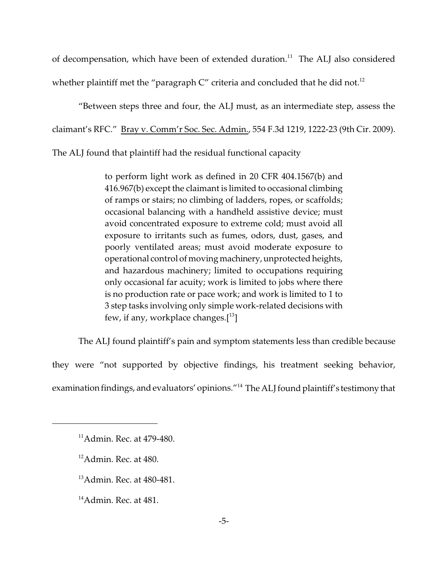of decompensation, which have been of extended duration.<sup>11</sup> The ALJ also considered whether plaintiff met the "paragraph  $C$ " criteria and concluded that he did not.<sup>12</sup>

"Between steps three and four, the ALJ must, as an intermediate step, assess the claimant's RFC." Bray v. Comm'r Soc. Sec. Admin., 554 F.3d 1219, 1222-23 (9th Cir. 2009).

The ALJ found that plaintiff had the residual functional capacity

to perform light work as defined in 20 CFR 404.1567(b) and 416.967(b) except the claimant is limited to occasional climbing of ramps or stairs; no climbing of ladders, ropes, or scaffolds; occasional balancing with a handheld assistive device; must avoid concentrated exposure to extreme cold; must avoid all exposure to irritants such as fumes, odors, dust, gases, and poorly ventilated areas; must avoid moderate exposure to operational control of moving machinery, unprotected heights, and hazardous machinery; limited to occupations requiring only occasional far acuity; work is limited to jobs where there is no production rate or pace work; and work is limited to 1 to 3 step tasks involving only simple work-related decisions with few, if any, workplace changes. $[13]$ 

The ALJ found plaintiff's pain and symptom statements less than credible because

they were "not supported by objective findings, his treatment seeking behavior,

examination findings, and evaluators' opinions."<sup>14</sup> The ALJ found plaintiff's testimony that

 $14$ Admin. Rec. at 481.

<sup>11</sup>Admin. Rec. at 479-480.

 $12$ Admin. Rec. at 480.

<sup>13</sup>Admin. Rec. at 480-481.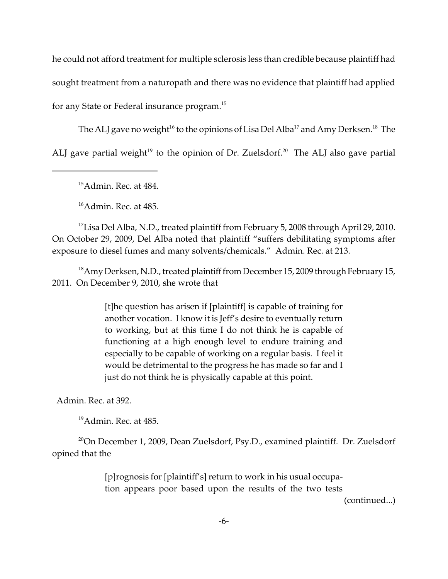he could not afford treatment for multiple sclerosis less than credible because plaintiff had sought treatment from a naturopath and there was no evidence that plaintiff had applied for any State or Federal insurance program. $^{15}$ 

The ALJ gave no weight<sup>16</sup> to the opinions of Lisa Del Alba<sup>17</sup> and Amy Derksen.<sup>18</sup> The ALJ gave partial weight<sup>19</sup> to the opinion of Dr. Zuelsdorf.<sup>20</sup> The ALJ also gave partial

 $15$ Admin. Rec. at 484.

 $16$ Admin. Rec. at 485.

<sup>17</sup>Lisa Del Alba, N.D., treated plaintiff from February 5, 2008 through April 29, 2010. On October 29, 2009, Del Alba noted that plaintiff "suffers debilitating symptoms after exposure to diesel fumes and many solvents/chemicals." Admin. Rec. at 213.

<sup>18</sup>Amy Derksen, N.D., treated plaintiff from December 15, 2009 through February 15, 2011. On December 9, 2010, she wrote that

> [t]he question has arisen if [plaintiff] is capable of training for another vocation. I know it is Jeff's desire to eventually return to working, but at this time I do not think he is capable of functioning at a high enough level to endure training and especially to be capable of working on a regular basis. I feel it would be detrimental to the progress he has made so far and I just do not think he is physically capable at this point.

Admin. Rec. at 392.

 $19$ Admin. Rec. at 485.

<sup>20</sup>On December 1, 2009, Dean Zuelsdorf, Psy.D., examined plaintiff. Dr. Zuelsdorf opined that the

> [p]rognosis for [plaintiff's] return to work in his usual occupation appears poor based upon the results of the two tests

> > (continued...)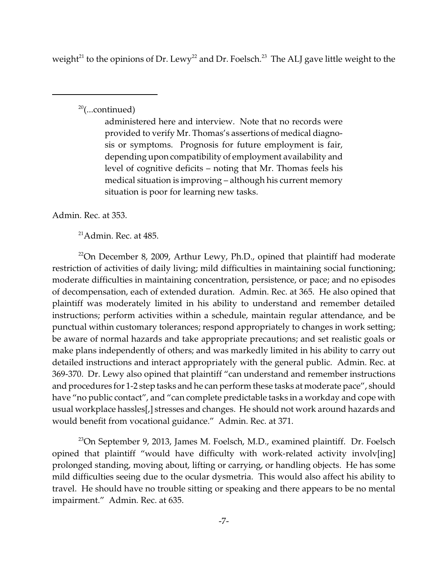weight<sup>21</sup> to the opinions of Dr. Lewy<sup>22</sup> and Dr. Foelsch.<sup>23</sup> The ALJ gave little weight to the

 $20$ (...continued)

administered here and interview. Note that no records were provided to verify Mr. Thomas's assertions of medical diagnosis or symptoms. Prognosis for future employment is fair, depending upon compatibility of employment availability and level of cognitive deficits – noting that Mr. Thomas feels his medical situation is improving – although his current memory situation is poor for learning new tasks.

Admin. Rec. at 353.

<sup>21</sup>Admin. Rec. at 485.

 $22$ On December 8, 2009, Arthur Lewy, Ph.D., opined that plaintiff had moderate restriction of activities of daily living; mild difficulties in maintaining social functioning; moderate difficulties in maintaining concentration, persistence, or pace; and no episodes of decompensation, each of extended duration. Admin. Rec. at 365. He also opined that plaintiff was moderately limited in his ability to understand and remember detailed instructions; perform activities within a schedule, maintain regular attendance, and be punctual within customary tolerances; respond appropriately to changes in work setting; be aware of normal hazards and take appropriate precautions; and set realistic goals or make plans independently of others; and was markedly limited in his ability to carry out detailed instructions and interact appropriately with the general public. Admin. Rec. at 369-370. Dr. Lewy also opined that plaintiff "can understand and remember instructions and procedures for 1-2 step tasks and he can perform these tasks at moderate pace", should have "no public contact", and "can complete predictable tasks in a workday and cope with usual workplace hassles[,] stresses and changes. He should not work around hazards and would benefit from vocational guidance." Admin. Rec. at 371.

<sup>23</sup>On September 9, 2013, James M. Foelsch, M.D., examined plaintiff. Dr. Foelsch opined that plaintiff "would have difficulty with work-related activity involv[ing] prolonged standing, moving about, lifting or carrying, or handling objects. He has some mild difficulties seeing due to the ocular dysmetria. This would also affect his ability to travel. He should have no trouble sitting or speaking and there appears to be no mental impairment." Admin. Rec. at 635.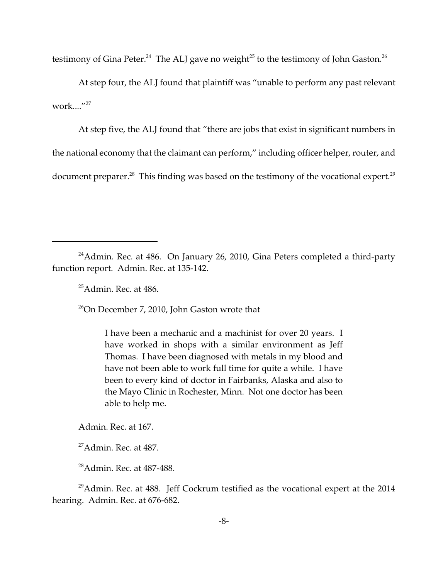testimony of Gina Peter. $^{24}$  The ALJ gave no weight $^{25}$  to the testimony of John Gaston. $^{26}$ 

At step four, the ALJ found that plaintiff was "unable to perform any past relevant work...."<sup>27</sup>

At step five, the ALJ found that "there are jobs that exist in significant numbers in the national economy that the claimant can perform," including officer helper, router, and document preparer.<sup>28</sup> This finding was based on the testimony of the vocational expert.<sup>29</sup>

<sup>24</sup>Admin. Rec. at 486. On January 26, 2010, Gina Peters completed a third-party function report. Admin. Rec. at 135-142.

 $25$ Admin. Rec. at 486.

 $26$ On December 7, 2010, John Gaston wrote that

I have been a mechanic and a machinist for over 20 years. I have worked in shops with a similar environment as Jeff Thomas. I have been diagnosed with metals in my blood and have not been able to work full time for quite a while. I have been to every kind of doctor in Fairbanks, Alaska and also to the Mayo Clinic in Rochester, Minn. Not one doctor has been able to help me.

Admin. Rec. at 167.

 $27$ Admin. Rec. at 487.

<sup>28</sup>Admin. Rec. at 487-488.

 $^{29}$ Admin. Rec. at 488. Jeff Cockrum testified as the vocational expert at the 2014 hearing. Admin. Rec. at 676-682.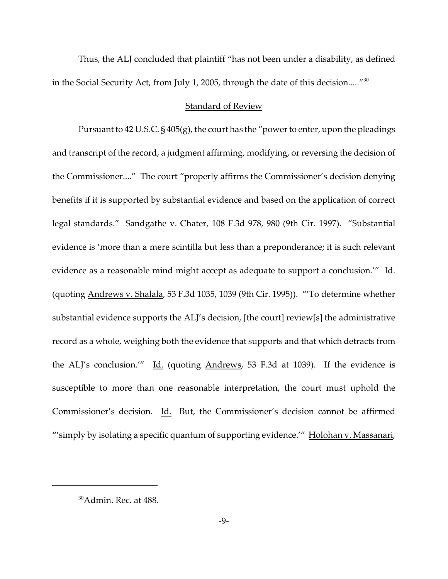Thus, the ALJ concluded that plaintiff "has not been under a disability, as defined in the Social Security Act, from July 1, 2005, through the date of this decision....."<sup>30</sup>

#### Standard of Review

Pursuant to 42 U.S.C. § 405(g), the court has the "power to enter, upon the pleadings and transcript of the record, a judgment affirming, modifying, or reversing the decision of the Commissioner...." The court "properly affirms the Commissioner's decision denying benefits if it is supported by substantial evidence and based on the application of correct legal standards." Sandgathe v. Chater, 108 F.3d 978, 980 (9th Cir. 1997). "Substantial evidence is 'more than a mere scintilla but less than a preponderance; it is such relevant evidence as a reasonable mind might accept as adequate to support a conclusion.'" Id. (quoting Andrews v. Shalala, 53 F.3d 1035, 1039 (9th Cir. 1995)). "'To determine whether substantial evidence supports the ALJ's decision, [the court] review[s] the administrative record as a whole, weighing both the evidence that supports and that which detracts from the ALJ's conclusion.'" Id. (quoting Andrews, 53 F.3d at 1039). If the evidence is susceptible to more than one reasonable interpretation, the court must uphold the Commissioner's decision. Id. But, the Commissioner's decision cannot be affirmed "'simply by isolating a specific quantum of supporting evidence.'" Holohan v. Massanari,

<sup>&</sup>lt;sup>30</sup>Admin. Rec. at 488.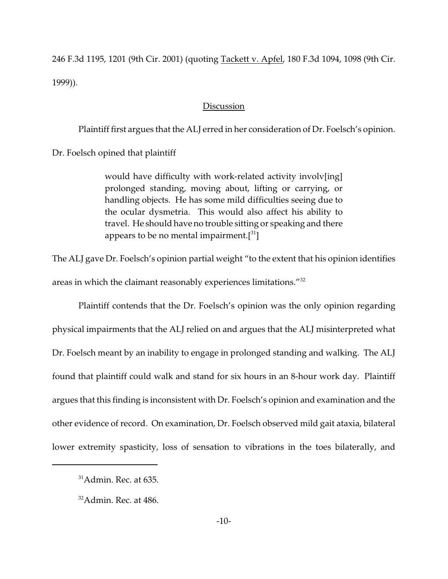246 F.3d 1195, 1201 (9th Cir. 2001) (quoting Tackett v. Apfel, 180 F.3d 1094, 1098 (9th Cir. 1999)).

#### **Discussion**

Plaintiff first argues that the ALJ erred in her consideration of Dr. Foelsch's opinion.

Dr. Foelsch opined that plaintiff

would have difficulty with work-related activity involv[ing] prolonged standing, moving about, lifting or carrying, or handling objects. He has some mild difficulties seeing due to the ocular dysmetria. This would also affect his ability to travel. He should have no trouble sitting or speaking and there appears to be no mental impairment. $\left[3^{31}\right]$ 

The ALJ gave Dr. Foelsch's opinion partial weight "to the extent that his opinion identifies areas in which the claimant reasonably experiences limitations."<sup>32</sup>

Plaintiff contends that the Dr. Foelsch's opinion was the only opinion regarding physical impairments that the ALJ relied on and argues that the ALJ misinterpreted what Dr. Foelsch meant by an inability to engage in prolonged standing and walking. The ALJ found that plaintiff could walk and stand for six hours in an 8-hour work day. Plaintiff argues that this finding is inconsistent with Dr. Foelsch's opinion and examination and the other evidence of record. On examination, Dr. Foelsch observed mild gait ataxia, bilateral lower extremity spasticity, loss of sensation to vibrations in the toes bilaterally, and

 $31$ Admin. Rec. at 635.

 $32$ Admin. Rec. at 486.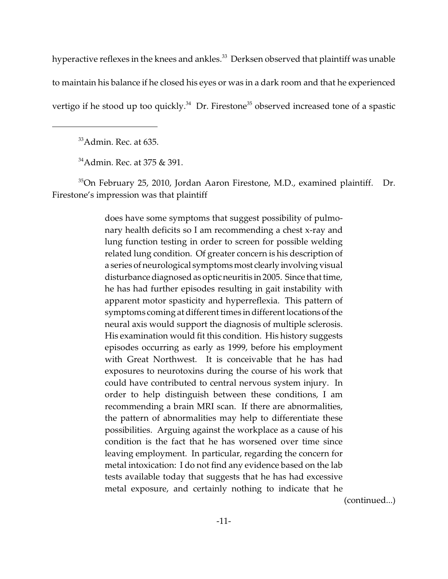hyperactive reflexes in the knees and ankles.<sup>33</sup> Derksen observed that plaintiff was unable to maintain his balance if he closed his eyes or was in a dark room and that he experienced vertigo if he stood up too quickly. $34$  Dr. Firestone<sup>35</sup> observed increased tone of a spastic

<sup>33</sup>Admin. Rec. at 635.

<sup>34</sup>Admin. Rec. at 375 & 391.

 $35$ On February 25, 2010, Jordan Aaron Firestone, M.D., examined plaintiff. Dr. Firestone's impression was that plaintiff

> does have some symptoms that suggest possibility of pulmonary health deficits so I am recommending a chest x-ray and lung function testing in order to screen for possible welding related lung condition. Of greater concern is his description of a series of neurological symptoms most clearly involving visual disturbance diagnosed as optic neuritis in 2005. Since that time, he has had further episodes resulting in gait instability with apparent motor spasticity and hyperreflexia. This pattern of symptoms coming at different times in different locations of the neural axis would support the diagnosis of multiple sclerosis. His examination would fit this condition. His history suggests episodes occurring as early as 1999, before his employment with Great Northwest. It is conceivable that he has had exposures to neurotoxins during the course of his work that could have contributed to central nervous system injury. In order to help distinguish between these conditions, I am recommending a brain MRI scan. If there are abnormalities, the pattern of abnormalities may help to differentiate these possibilities. Arguing against the workplace as a cause of his condition is the fact that he has worsened over time since leaving employment. In particular, regarding the concern for metal intoxication: I do not find any evidence based on the lab tests available today that suggests that he has had excessive metal exposure, and certainly nothing to indicate that he

> > (continued...)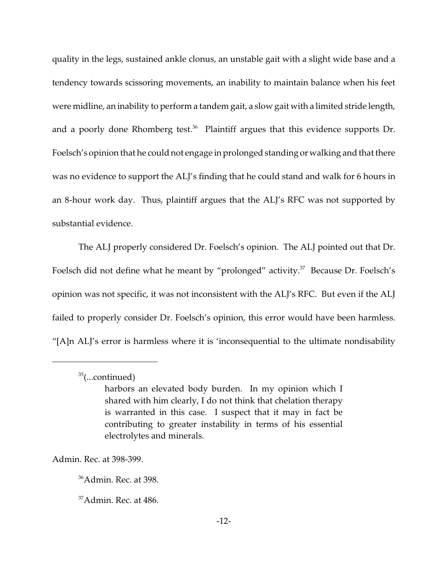quality in the legs, sustained ankle clonus, an unstable gait with a slight wide base and a tendency towards scissoring movements, an inability to maintain balance when his feet were midline, an inability to perform a tandem gait, a slow gait with a limited stride length, and a poorly done Rhomberg test.<sup>36</sup> Plaintiff argues that this evidence supports Dr. Foelsch's opinion that he could not engage in prolonged standing or walking and that there was no evidence to support the ALJ's finding that he could stand and walk for 6 hours in an 8-hour work day. Thus, plaintiff argues that the ALJ's RFC was not supported by substantial evidence.

The ALJ properly considered Dr. Foelsch's opinion. The ALJ pointed out that Dr. Foelsch did not define what he meant by "prolonged" activity.<sup>37</sup> Because Dr. Foelsch's opinion was not specific, it was not inconsistent with the ALJ's RFC. But even if the ALJ failed to properly consider Dr. Foelsch's opinion, this error would have been harmless. "[A]n ALJ's error is harmless where it is 'inconsequential to the ultimate nondisability

Admin. Rec. at 398-399.

 $35$ (...continued)

harbors an elevated body burden. In my opinion which I shared with him clearly, I do not think that chelation therapy is warranted in this case. I suspect that it may in fact be contributing to greater instability in terms of his essential electrolytes and minerals.

<sup>36</sup>Admin. Rec. at 398.

 $37$ Admin. Rec. at 486.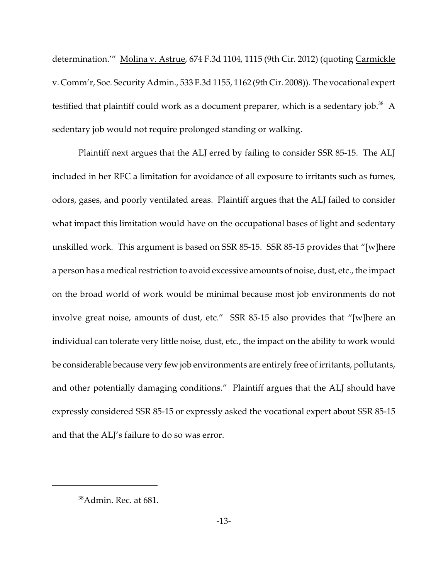determination.'" Molina v. Astrue, 674 F.3d 1104, 1115 (9th Cir. 2012) (quoting Carmickle v. Comm'r, Soc. Security Admin., 533 F.3d 1155, 1162 (9th Cir. 2008)). The vocational expert testified that plaintiff could work as a document preparer, which is a sedentary job.<sup>38</sup> A sedentary job would not require prolonged standing or walking.

Plaintiff next argues that the ALJ erred by failing to consider SSR 85-15. The ALJ included in her RFC a limitation for avoidance of all exposure to irritants such as fumes, odors, gases, and poorly ventilated areas. Plaintiff argues that the ALJ failed to consider what impact this limitation would have on the occupational bases of light and sedentary unskilled work. This argument is based on SSR 85-15. SSR 85-15 provides that "[w]here a person has a medical restriction to avoid excessive amounts of noise, dust, etc., the impact on the broad world of work would be minimal because most job environments do not involve great noise, amounts of dust, etc." SSR 85-15 also provides that "[w]here an individual can tolerate very little noise, dust, etc., the impact on the ability to work would be considerable because very few job environments are entirely free of irritants, pollutants, and other potentially damaging conditions." Plaintiff argues that the ALJ should have expressly considered SSR 85-15 or expressly asked the vocational expert about SSR 85-15 and that the ALJ's failure to do so was error.

<sup>&</sup>lt;sup>38</sup>Admin. Rec. at 681.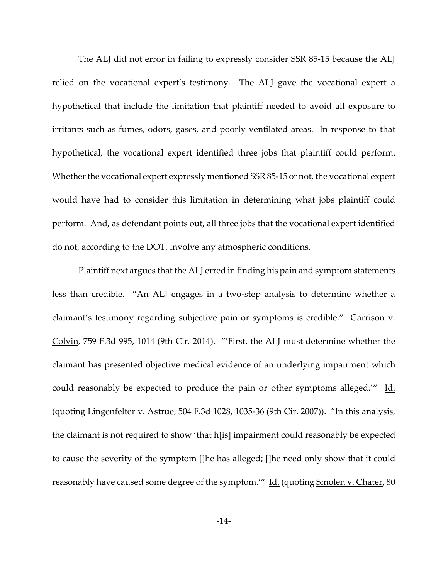The ALJ did not error in failing to expressly consider SSR 85-15 because the ALJ relied on the vocational expert's testimony. The ALJ gave the vocational expert a hypothetical that include the limitation that plaintiff needed to avoid all exposure to irritants such as fumes, odors, gases, and poorly ventilated areas. In response to that hypothetical, the vocational expert identified three jobs that plaintiff could perform. Whether the vocational expert expressly mentioned SSR 85-15 or not, the vocational expert would have had to consider this limitation in determining what jobs plaintiff could perform. And, as defendant points out, all three jobs that the vocational expert identified do not, according to the DOT, involve any atmospheric conditions.

Plaintiff next argues that the ALJ erred in finding his pain and symptom statements less than credible. "An ALJ engages in a two-step analysis to determine whether a claimant's testimony regarding subjective pain or symptoms is credible." Garrison v. Colvin, 759 F.3d 995, 1014 (9th Cir. 2014). "'First, the ALJ must determine whether the claimant has presented objective medical evidence of an underlying impairment which could reasonably be expected to produce the pain or other symptoms alleged.'" Id. (quoting Lingenfelter v. Astrue, 504 F.3d 1028, 1035-36 (9th Cir. 2007)). "In this analysis, the claimant is not required to show 'that h[is] impairment could reasonably be expected to cause the severity of the symptom []he has alleged; []he need only show that it could reasonably have caused some degree of the symptom.'" Id. (quoting Smolen v. Chater, 80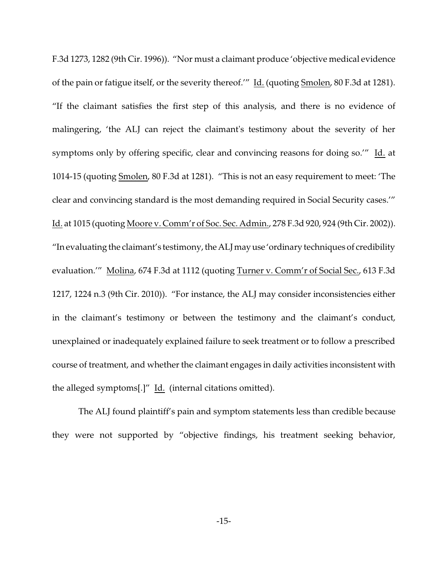F.3d 1273, 1282 (9th Cir. 1996)). "Nor must a claimant produce 'objective medical evidence of the pain or fatigue itself, or the severity thereof.'" Id. (quoting Smolen, 80 F.3d at 1281). "If the claimant satisfies the first step of this analysis, and there is no evidence of malingering, 'the ALJ can reject the claimant's testimony about the severity of her symptoms only by offering specific, clear and convincing reasons for doing so.'" Id. at 1014-15 (quoting Smolen, 80 F.3d at 1281). "This is not an easy requirement to meet: 'The clear and convincing standard is the most demanding required in Social Security cases.'" Id. at 1015 (quoting Moore v. Comm'r of Soc. Sec. Admin., 278 F.3d 920, 924 (9th Cir. 2002)). "In evaluating the claimant's testimony, the ALJ may use 'ordinary techniques of credibility evaluation.'" Molina, 674 F.3d at 1112 (quoting Turner v. Comm'r of Social Sec., 613 F.3d 1217, 1224 n.3 (9th Cir. 2010)). "For instance, the ALJ may consider inconsistencies either in the claimant's testimony or between the testimony and the claimant's conduct, unexplained or inadequately explained failure to seek treatment or to follow a prescribed course of treatment, and whether the claimant engages in daily activities inconsistent with the alleged symptoms[.]" Id. (internal citations omitted).

The ALJ found plaintiff's pain and symptom statements less than credible because they were not supported by "objective findings, his treatment seeking behavior,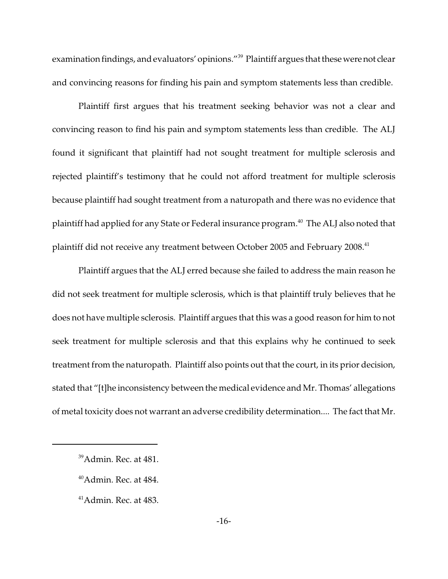examination findings, and evaluators' opinions."<sup>39</sup> Plaintiff argues that these were not clear and convincing reasons for finding his pain and symptom statements less than credible.

Plaintiff first argues that his treatment seeking behavior was not a clear and convincing reason to find his pain and symptom statements less than credible. The ALJ found it significant that plaintiff had not sought treatment for multiple sclerosis and rejected plaintiff's testimony that he could not afford treatment for multiple sclerosis because plaintiff had sought treatment from a naturopath and there was no evidence that plaintiff had applied for any State or Federal insurance program.<sup>40</sup> The ALJ also noted that plaintiff did not receive any treatment between October 2005 and February 2008.<sup>41</sup>

Plaintiff argues that the ALJ erred because she failed to address the main reason he did not seek treatment for multiple sclerosis, which is that plaintiff truly believes that he does not have multiple sclerosis. Plaintiff argues that this was a good reason for him to not seek treatment for multiple sclerosis and that this explains why he continued to seek treatment from the naturopath. Plaintiff also points out that the court, in its prior decision, stated that "[t]he inconsistency between the medical evidence and Mr. Thomas' allegations of metal toxicity does not warrant an adverse credibility determination.... The fact that Mr.

<sup>&</sup>lt;sup>39</sup>Admin. Rec. at 481.

 $40$ Admin. Rec. at 484.

<sup>41</sup>Admin. Rec. at 483.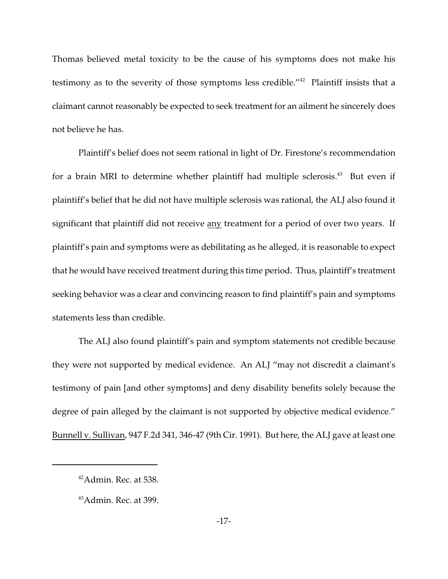Thomas believed metal toxicity to be the cause of his symptoms does not make his testimony as to the severity of those symptoms less credible."<sup>42</sup> Plaintiff insists that a claimant cannot reasonably be expected to seek treatment for an ailment he sincerely does not believe he has.

Plaintiff's belief does not seem rational in light of Dr. Firestone's recommendation for a brain MRI to determine whether plaintiff had multiple sclerosis.<sup>43</sup> But even if plaintiff's belief that he did not have multiple sclerosis was rational, the ALJ also found it significant that plaintiff did not receive any treatment for a period of over two years. If plaintiff's pain and symptoms were as debilitating as he alleged, it is reasonable to expect that he would have received treatment during this time period. Thus, plaintiff's treatment seeking behavior was a clear and convincing reason to find plaintiff's pain and symptoms statements less than credible.

The ALJ also found plaintiff's pain and symptom statements not credible because they were not supported by medical evidence. An ALJ "may not discredit a claimant's testimony of pain [and other symptoms] and deny disability benefits solely because the degree of pain alleged by the claimant is not supported by objective medical evidence." Bunnell v. Sullivan, 947 F.2d 341, 346-47 (9th Cir. 1991). But here, the ALJ gave at least one

 $42$ Admin. Rec. at 538.

 $43$ Admin. Rec. at 399.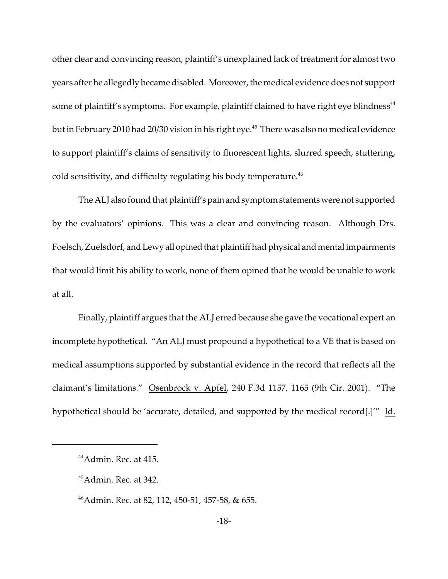other clear and convincing reason, plaintiff's unexplained lack of treatment for almost two years after he allegedly became disabled. Moreover, the medical evidence does not support some of plaintiff's symptoms. For example, plaintiff claimed to have right eye blindness<sup>44</sup> but in February 2010 had 20/30 vision in his right eye.<sup>45</sup> There was also no medical evidence to support plaintiff's claims of sensitivity to fluorescent lights, slurred speech, stuttering, cold sensitivity, and difficulty regulating his body temperature.<sup>46</sup>

The ALJ also found that plaintiff's pain and symptom statements were not supported by the evaluators' opinions. This was a clear and convincing reason. Although Drs. Foelsch, Zuelsdorf, and Lewy all opined that plaintiff had physical and mental impairments that would limit his ability to work, none of them opined that he would be unable to work at all.

Finally, plaintiff argues that the ALJ erred because she gave the vocational expert an incomplete hypothetical. "An ALJ must propound a hypothetical to a VE that is based on medical assumptions supported by substantial evidence in the record that reflects all the claimant's limitations." Osenbrock v. Apfel, 240 F.3d 1157, 1165 (9th Cir. 2001). "The hypothetical should be 'accurate, detailed, and supported by the medical record[.]'" Id.

<sup>44</sup>Admin. Rec. at 415.

<sup>45</sup>Admin. Rec. at 342.

<sup>46</sup>Admin. Rec. at 82, 112, 450-51, 457-58, & 655.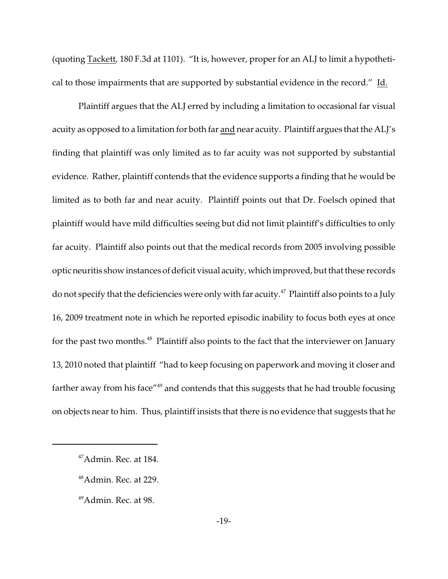(quoting Tackett, 180 F.3d at 1101). "It is, however, proper for an ALJ to limit a hypothetical to those impairments that are supported by substantial evidence in the record." Id.

Plaintiff argues that the ALJ erred by including a limitation to occasional far visual acuity as opposed to a limitation for both far and near acuity. Plaintiff argues that the ALJ's finding that plaintiff was only limited as to far acuity was not supported by substantial evidence. Rather, plaintiff contends that the evidence supports a finding that he would be limited as to both far and near acuity. Plaintiff points out that Dr. Foelsch opined that plaintiff would have mild difficulties seeing but did not limit plaintiff's difficulties to only far acuity. Plaintiff also points out that the medical records from 2005 involving possible optic neuritis show instances of deficit visual acuity, which improved, but that these records do not specify that the deficiencies were only with far acuity.<sup>47</sup> Plaintiff also points to a July 16, 2009 treatment note in which he reported episodic inability to focus both eyes at once for the past two months.<sup>48</sup> Plaintiff also points to the fact that the interviewer on January 13, 2010 noted that plaintiff "had to keep focusing on paperwork and moving it closer and farther away from his face"<sup>49</sup> and contends that this suggests that he had trouble focusing on objects near to him. Thus, plaintiff insists that there is no evidence that suggests that he

<sup>47</sup>Admin. Rec. at 184.

<sup>48</sup>Admin. Rec. at 229.

<sup>&</sup>lt;sup>49</sup>Admin. Rec. at 98.